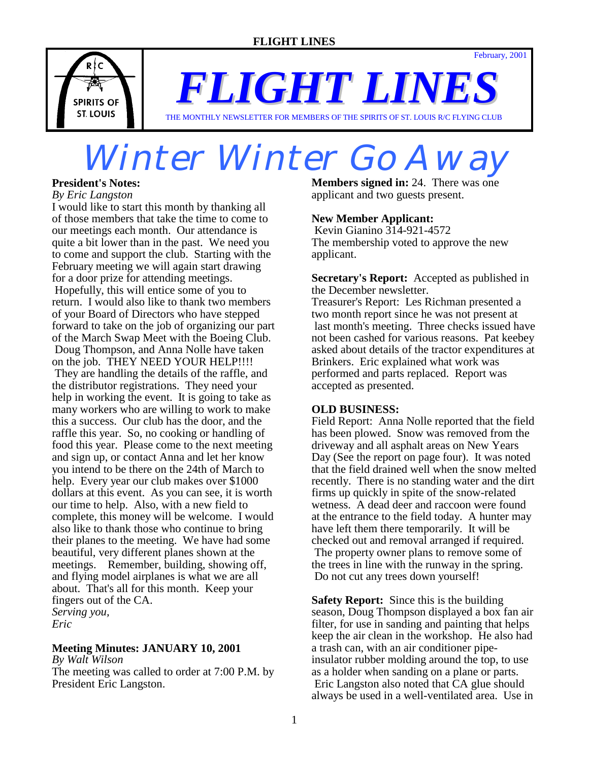February, 2001



*FLIGHT LINES*

THE MONTHLY NEWSLETTER FOR MEMBERS OF THE SPIRITS OF ST. LOUIS R/C FLYING CLUB

## Winter Winter Go Awa

#### **President's Notes:**

*By Eric Langston*

I would like to start this month by thanking all of those members that take the time to come to our meetings each month. Our attendance is quite a bit lower than in the past. We need you to come and support the club. Starting with the February meeting we will again start drawing for a door prize for attending meetings. Hopefully, this will entice some of you to return. I would also like to thank two members of your Board of Directors who have stepped forward to take on the job of organizing our part of the March Swap Meet with the Boeing Club. Doug Thompson, and Anna Nolle have taken on the job. THEY NEED YOUR HELP!!!! They are handling the details of the raffle, and the distributor registrations. They need your help in working the event. It is going to take as many workers who are willing to work to make this a success. Our club has the door, and the raffle this year. So, no cooking or handling of food this year. Please come to the next meeting and sign up, or contact Anna and let her know you intend to be there on the 24th of March to help. Every year our club makes over \$1000 dollars at this event. As you can see, it is worth our time to help. Also, with a new field to complete, this money will be welcome. I would also like to thank those who continue to bring their planes to the meeting. We have had some beautiful, very different planes shown at the meetings. Remember, building, showing off, and flying model airplanes is what we are all about. That's all for this month. Keep your fingers out of the CA. *Serving you, Eric* 

#### **Meeting Minutes: JANUARY 10, 2001**

*By Walt Wilson*

The meeting was called to order at 7:00 P.M. by President Eric Langston.

**Members signed in:** 24. There was one applicant and two guests present.

#### **New Member Applicant:**

 Kevin Gianino 314-921-4572 The membership voted to approve the new applicant.

**Secretary's Report:** Accepted as published in the December newsletter.

Treasurer's Report: Les Richman presented a two month report since he was not present at last month's meeting. Three checks issued have not been cashed for various reasons. Pat keebey asked about details of the tractor expenditures at Brinkers. Eric explained what work was performed and parts replaced. Report was accepted as presented.

#### **OLD BUSINESS:**

Field Report: Anna Nolle reported that the field has been plowed. Snow was removed from the driveway and all asphalt areas on New Years Day (See the report on page four). It was noted that the field drained well when the snow melted recently. There is no standing water and the dirt firms up quickly in spite of the snow-related wetness. A dead deer and raccoon were found at the entrance to the field today. A hunter may have left them there temporarily. It will be checked out and removal arranged if required. The property owner plans to remove some of the trees in line with the runway in the spring. Do not cut any trees down yourself!

**Safety Report:** Since this is the building season, Doug Thompson displayed a box fan air filter, for use in sanding and painting that helps keep the air clean in the workshop. He also had a trash can, with an air conditioner pipeinsulator rubber molding around the top, to use as a holder when sanding on a plane or parts. Eric Langston also noted that CA glue should always be used in a well-ventilated area. Use in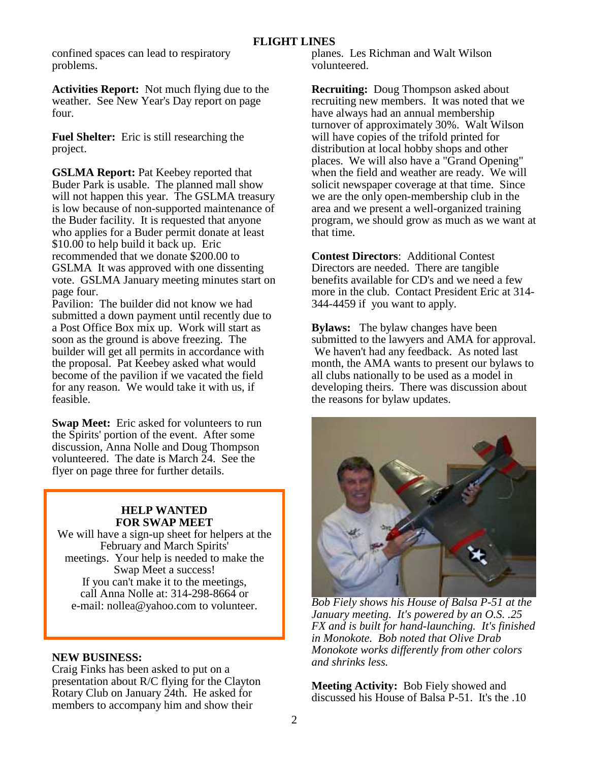confined spaces can lead to respiratory problems.

**Activities Report:** Not much flying due to the weather. See New Year's Day report on page four.

**Fuel Shelter:** Eric is still researching the project.

**GSLMA Report:** Pat Keebey reported that Buder Park is usable. The planned mall show will not happen this year. The GSLMA treasury is low because of non-supported maintenance of the Buder facility. It is requested that anyone who applies for a Buder permit donate at least \$10.00 to help build it back up. Eric recommended that we donate \$200.00 to GSLMA It was approved with one dissenting vote. GSLMA January meeting minutes start on page four.

Pavilion: The builder did not know we had submitted a down payment until recently due to a Post Office Box mix up. Work will start as soon as the ground is above freezing. The builder will get all permits in accordance with the proposal. Pat Keebey asked what would become of the pavilion if we vacated the field for any reason. We would take it with us, if feasible.

**Swap Meet:** Eric asked for volunteers to run the Spirits' portion of the event. After some discussion, Anna Nolle and Doug Thompson volunteered. The date is March 24. See the flyer on page three for further details.

#### **HELP WANTED FOR SWAP MEET**

We will have a sign-up sheet for helpers at the February and March Spirits' meetings. Your help is needed to make the Swap Meet a success! If you can't make it to the meetings, call Anna Nolle at: 314-298-8664 or e-mail: nollea@yahoo.com to volunteer.

#### **NEW BUSINESS:**

Craig Finks has been asked to put on a presentation about R/C flying for the Clayton Rotary Club on January 24th. He asked for members to accompany him and show their

planes. Les Richman and Walt Wilson volunteered.

**Recruiting:** Doug Thompson asked about recruiting new members. It was noted that we have always had an annual membership turnover of approximately 30%. Walt Wilson will have copies of the trifold printed for distribution at local hobby shops and other places. We will also have a "Grand Opening" when the field and weather are ready. We will solicit newspaper coverage at that time. Since we are the only open-membership club in the area and we present a well-organized training program, we should grow as much as we want at that time.

**Contest Directors**: Additional Contest Directors are needed. There are tangible benefits available for CD's and we need a few more in the club. Contact President Eric at 314- 344-4459 if you want to apply.

**Bylaws:** The bylaw changes have been submitted to the lawyers and AMA for approval. We haven't had any feedback. As noted last month, the AMA wants to present our bylaws to all clubs nationally to be used as a model in developing theirs. There was discussion about the reasons for bylaw updates.



*Bob Fiely shows his House of Balsa P-51 at the January meeting. It's powered by an O.S. .25 FX and is built for hand-launching. It's finished in Monokote. Bob noted that Olive Drab Monokote works differently from other colors and shrinks less.* 

**Meeting Activity:** Bob Fiely showed and discussed his House of Balsa P-51. It's the .10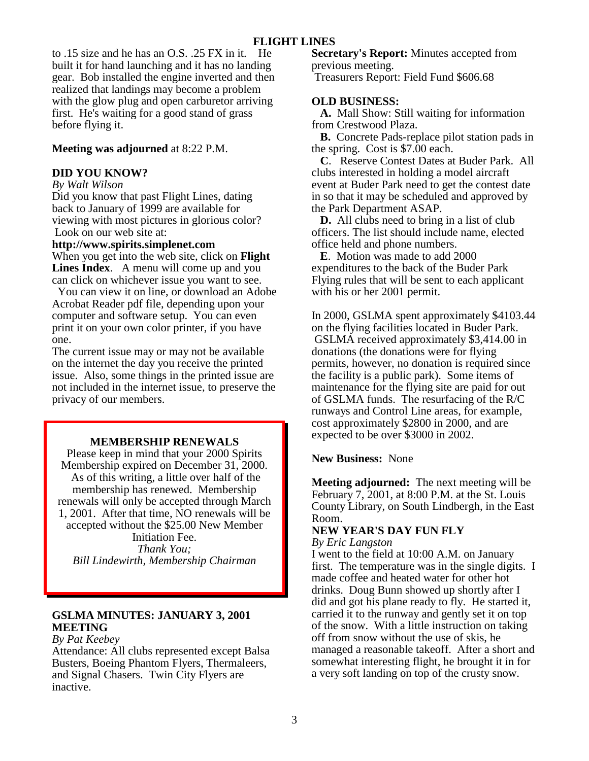to .15 size and he has an O.S. .25 FX in it. He built it for hand launching and it has no landing gear. Bob installed the engine inverted and then realized that landings may become a problem with the glow plug and open carburetor arriving first. He's waiting for a good stand of grass before flying it.

#### **Meeting was adjourned** at 8:22 P.M.

#### **DID YOU KNOW?**

*By Walt Wilson*

Did you know that past Flight Lines, dating back to January of 1999 are available for viewing with most pictures in glorious color? Look on our web site at:

#### **http://www.spirits.simplenet.com**

When you get into the web site, click on **Flight Lines Index**. A menu will come up and you can click on whichever issue you want to see.

 You can view it on line, or download an Adobe Acrobat Reader pdf file, depending upon your computer and software setup. You can even print it on your own color printer, if you have one.

The current issue may or may not be available on the internet the day you receive the printed issue. Also, some things in the printed issue are not included in the internet issue, to preserve the privacy of our members.

#### **MEMBERSHIP RENEWALS**

Please keep in mind that your 2000 Spirits Membership expired on December 31, 2000. As of this writing, a little over half of the membership has renewed. Membership renewals will only be accepted through March 1, 2001. After that time, NO renewals will be accepted without the \$25.00 New Member Initiation Fee. *Thank You;* 

*Bill Lindewirth, Membership Chairman* 

#### **GSLMA MINUTES: JANUARY 3, 2001 MEETING**

#### *By Pat Keebey*

Attendance: All clubs represented except Balsa Busters, Boeing Phantom Flyers, Thermaleers, and Signal Chasers. Twin City Flyers are inactive.

**Secretary's Report:** Minutes accepted from previous meeting.

Treasurers Report: Field Fund \$606.68

#### **OLD BUSINESS:**

 **A.** Mall Show: Still waiting for information from Crestwood Plaza.

 **B.** Concrete Pads-replace pilot station pads in the spring. Cost is \$7.00 each.

 **C**. Reserve Contest Dates at Buder Park. All clubs interested in holding a model aircraft event at Buder Park need to get the contest date in so that it may be scheduled and approved by the Park Department ASAP.

 **D.** All clubs need to bring in a list of club officers. The list should include name, elected office held and phone numbers.

 **E**. Motion was made to add 2000 expenditures to the back of the Buder Park Flying rules that will be sent to each applicant with his or her 2001 permit.

In 2000, GSLMA spent approximately \$4103.44 on the flying facilities located in Buder Park. GSLMA received approximately \$3,414.00 in donations (the donations were for flying permits, however, no donation is required since the facility is a public park). Some items of maintenance for the flying site are paid for out of GSLMA funds. The resurfacing of the R/C runways and Control Line areas, for example, cost approximately \$2800 in 2000, and are expected to be over \$3000 in 2002.

#### **New Business:** None

**Meeting adjourned:** The next meeting will be February 7, 2001, at 8:00 P.M. at the St. Louis County Library, on South Lindbergh, in the East Room.

#### **NEW YEAR'S DAY FUN FLY**

*By Eric Langston*

I went to the field at 10:00 A.M. on January first. The temperature was in the single digits. I made coffee and heated water for other hot drinks. Doug Bunn showed up shortly after I did and got his plane ready to fly. He started it, carried it to the runway and gently set it on top of the snow. With a little instruction on taking off from snow without the use of skis, he managed a reasonable takeoff. After a short and somewhat interesting flight, he brought it in for a very soft landing on top of the crusty snow.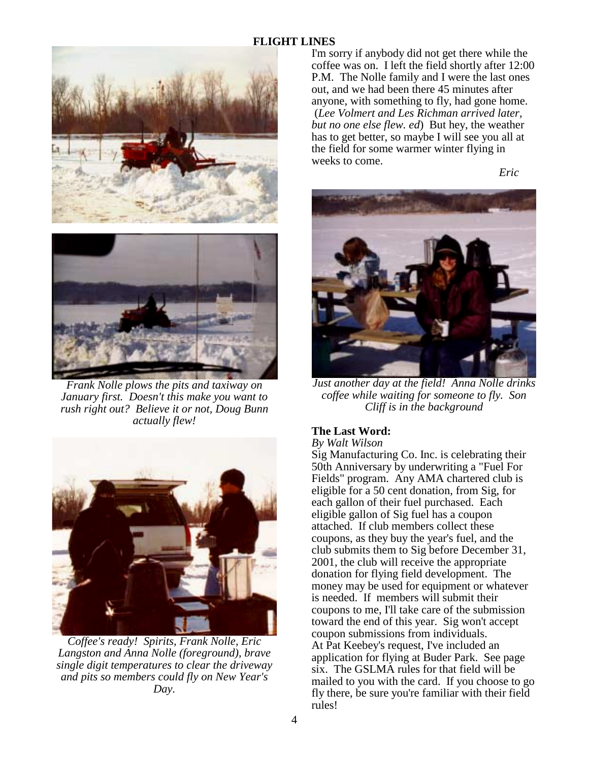#### **FLIGHT LINES**



*Frank Nolle plows the pits and taxiway on January first. Doesn't this make you want to rush right out? Believe it or not, Doug Bunn actually flew!* 



*Coffee's ready! Spirits, Frank Nolle, Eric Langston and Anna Nolle (foreground), brave single digit temperatures to clear the driveway and pits so members could fly on New Year's Day.* 

I'm sorry if anybody did not get there while the coffee was on. I left the field shortly after 12:00 P.M. The Nolle family and I were the last ones out, and we had been there 45 minutes after anyone, with something to fly, had gone home. (*Lee Volmert and Les Richman arrived later, but no one else flew. ed*) But hey, the weather has to get better, so maybe I will see you all at the field for some warmer winter flying in weeks to come.

 *Eric* 



*Just another day at the field! Anna Nolle drinks coffee while waiting for someone to fly. Son Cliff is in the background* 

#### **The Last Word:**

*By Walt Wilson*

Sig Manufacturing Co. Inc. is celebrating their 50th Anniversary by underwriting a "Fuel For Fields" program. Any AMA chartered club is eligible for a 50 cent donation, from Sig, for each gallon of their fuel purchased. Each eligible gallon of Sig fuel has a coupon attached. If club members collect these coupons, as they buy the year's fuel, and the club submits them to Sig before December 31, 2001, the club will receive the appropriate donation for flying field development. The money may be used for equipment or whatever is needed. If members will submit their coupons to me, I'll take care of the submission toward the end of this year. Sig won't accept coupon submissions from individuals. At Pat Keebey's request, I've included an application for flying at Buder Park. See page six. The GSLMA rules for that field will be mailed to you with the card. If you choose to go fly there, be sure you're familiar with their field rules!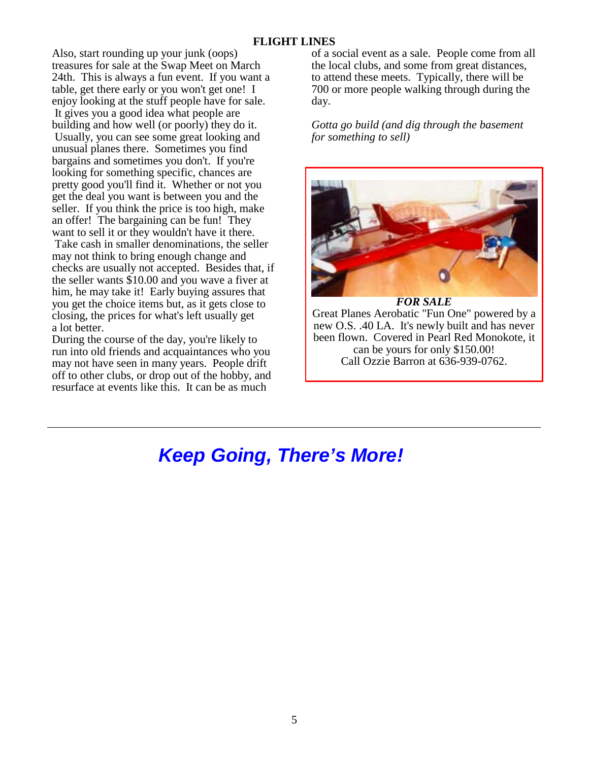#### **FLIGHT LINES**

Also, start rounding up your junk (oops) treasures for sale at the Swap Meet on March 24th. This is always a fun event. If you want a table, get there early or you won't get one! I enjoy looking at the stuff people have for sale. It gives you a good idea what people are building and how well (or poorly) they do it. Usually, you can see some great looking and unusual planes there. Sometimes you find bargains and sometimes you don't. If you're looking for something specific, chances are pretty good you'll find it. Whether or not you get the deal you want is between you and the seller. If you think the price is too high, make an offer! The bargaining can be fun! They want to sell it or they wouldn't have it there. Take cash in smaller denominations, the seller may not think to bring enough change and checks are usually not accepted. Besides that, if the seller wants \$10.00 and you wave a fiver at him, he may take it! Early buying assures that you get the choice items but, as it gets close to closing, the prices for what's left usually get a lot better.

During the course of the day, you're likely to run into old friends and acquaintances who you may not have seen in many years. People drift off to other clubs, or drop out of the hobby, and resurface at events like this. It can be as much

of a social event as a sale. People come from all the local clubs, and some from great distances, to attend these meets. Typically, there will be 700 or more people walking through during the day.

*Gotta go build (and dig through the basement for something to sell)*



*FOR SALE* Great Planes Aerobatic "Fun One" powered by a new O.S. .40 LA. It's newly built and has never been flown. Covered in Pearl Red Monokote, it can be yours for only \$150.00! Call Ozzie Barron at 636-939-0762.

## *Keep Going, There's More!*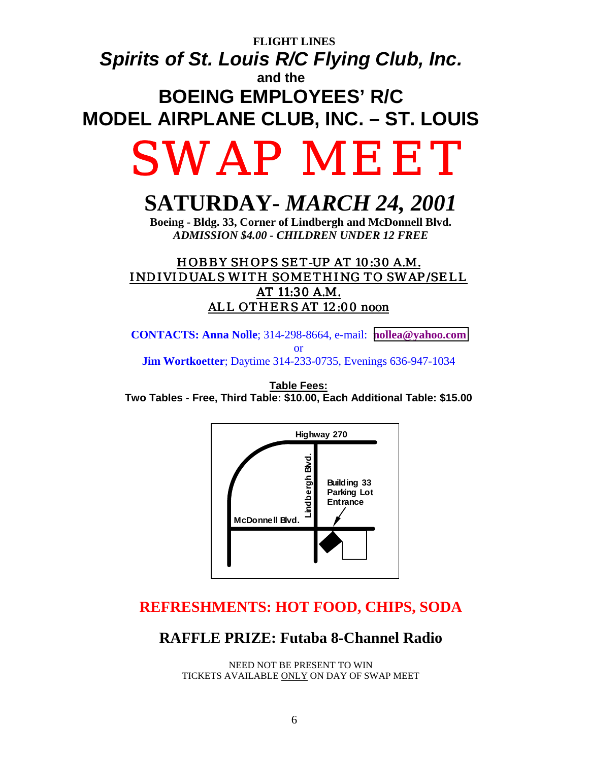## **FLIGHT LINES**  *Spirits of St. Louis R/C Flying Club, Inc.*  **and the** **BOEING EMPLOYEES' R/C MODEL AIRPLANE CLUB, INC. – ST. LOUIS**

# SWAP MEET

## **SATURDAY-** *MARCH 24, 2001*

**Boeing - Bldg. 33, Corner of Lindbergh and McDonnell Blvd.**  *ADMISSION \$4.00 - CHILDREN UNDER 12 FREE*

### HOBBY SHOPS SET-UP AT 10:30 A.M. INDIVIDUALS WITH SOMETHING TO SWAP/SELL AT 11:30 A.M. ALL OTHERS AT 12:00 noon

**CONTACTS: Anna Nolle**; 314-298-8664, e-mail: **[nollea@yahoo.com](mailto:nollea@yahoo.com)** or **Jim Wortkoetter**; Daytime 314-233-0735, Evenings 636-947-1034

**Table Fees: Two Tables - Free, Third Table: \$10.00, Each Additional Table: \$15.00**



## **REFRESHMENTS: HOT FOOD, CHIPS, SODA**

### **RAFFLE PRIZE: Futaba 8-Channel Radio**

NEED NOT BE PRESENT TO WIN TICKETS AVAILABLE ONLY ON DAY OF SWAP MEET